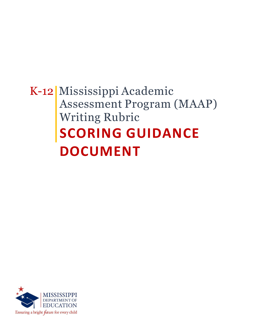# K-12 Mississippi Academic Assessment Program (MAAP) Writing Rubric **SCORING GUIDANCE DOCUMENT**

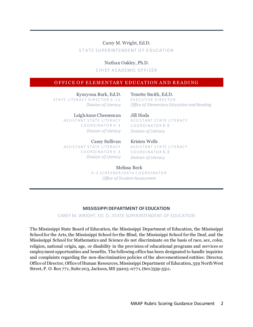### Carey M. Wright, Ed.D. STATE SUPERINTENDENT OF EDUCATION

Nathan Oakley, Ph.D.

**CHIEF ACADEMIC OFFICER** 

### OFFICE OF ELEMENTARY EDUCATION AND READING

Kymyona Burk, Ed.D. STATE LITERACY DIRECTOR K-12 *Division of Literacy*

Tenette Smith, Ed.D. EXECUTIVE DIRECTOR *Office of Elementary Education and Reading*

LeighAnne Cheeseman ASSISTANT STATE LITERACY COORDINATOR K-3 *Division of Literacy*

Casey Sullivan ASSISTANT STATE LITERACY COORDINATOR K-3 *Division of Literacy* Jill Hoda ASSISTANT STATE LITERACY COORDINATOR<sub>K-3</sub> *Division of Literacy*

Kristen Wells ASSISTANT STATE LITERACY COORDINATOR K-3 *Division of Literacy*

Melissa Beck K-3 SCREENER/DATA COORDINATOR *Office of Student Assessment*

### **MISSISSIPPI DEPARTMENT OF EDUCATION**

#### CAREY M. WRIGHT, ED. D., STATE SUPERINTENDENT OF EDUCATION

The Mississippi State Board of Education, the Mississippi Department of Education, the Mississippi School for the Arts, the Mississippi School for the Blind, the Mississippi School for the Deaf, and the Mississippi School for Mathematics and Science do not discriminate on the basis of race, sex, color, religion, national origin, age, or disability in the provision of educational programs and services or employment opportunities and benefits. The following office has been designated to handle inquiries and complaints regarding the non-discrimination policies of the abovementioned entities: Director, Office of Director, Office of Human Resources, Mississippi Department of Education, 359 North West Street, P. O. Box 771, Suite 203, Jackson, MS 39205-0771, (601)359-3511.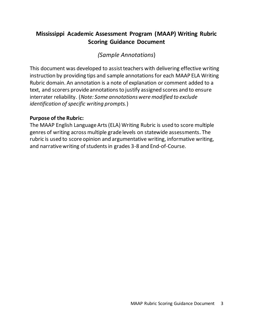## **Mississippi Academic Assessment Program (MAAP) Writing Rubric Scoring Guidance Document**

### *(Sample Annotations*)

This document was developed to assist teachers with delivering effective writing instruction by providing tips and sample annotations for each MAAP ELA Writing Rubric domain. An annotation is a note of explanation or comment added to a text, and scorers provide annotations to justify assigned scores and to ensure interrater reliability. (*Note: Some annotations were modified to exclude identification of specific writing prompts.*)

### **Purpose of the Rubric:**

The MAAP English Language Arts (ELA) Writing Rubric is used to score multiple genres of writing across multiple grade levels on statewide assessments. The rubric is used to score opinion and argumentative writing, informative writing, and narrative writing of students in grades 3-8 and End-of-Course.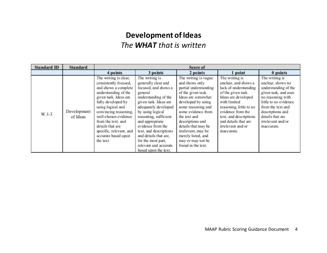# **Development of Ideas**  *The WHAT that is written*

| <b>Standard ID</b> | Standard                | Score of                                                                                                                                                                                                                                                                                                                     |                                                                                                                                                                                                                                                                                                                                                                  |                                                                                                                                                                                                                                                                                                                                 |                                                                                                                                                                                                                                                                    |                                                                                                                                                                                                                                    |
|--------------------|-------------------------|------------------------------------------------------------------------------------------------------------------------------------------------------------------------------------------------------------------------------------------------------------------------------------------------------------------------------|------------------------------------------------------------------------------------------------------------------------------------------------------------------------------------------------------------------------------------------------------------------------------------------------------------------------------------------------------------------|---------------------------------------------------------------------------------------------------------------------------------------------------------------------------------------------------------------------------------------------------------------------------------------------------------------------------------|--------------------------------------------------------------------------------------------------------------------------------------------------------------------------------------------------------------------------------------------------------------------|------------------------------------------------------------------------------------------------------------------------------------------------------------------------------------------------------------------------------------|
|                    |                         | 4 points                                                                                                                                                                                                                                                                                                                     | 3 points                                                                                                                                                                                                                                                                                                                                                         | 2 points                                                                                                                                                                                                                                                                                                                        | 1 point                                                                                                                                                                                                                                                            | 0 points                                                                                                                                                                                                                           |
| $W.1-3$            | Development<br>of Ideas | The writing is clear,<br>consistently focused,<br>and shows a complete<br>understanding of the<br>given task. Ideas are<br>fully developed by<br>using logical and<br>convincing reasoning,<br>well-chosen evidence<br>from the text, and<br>details that are<br>specific, relevant, and<br>accurate based upon<br>the text. | The writing is<br>generally clear and<br>focused, and shows a<br>general<br>understanding of the<br>given task. Ideas are<br>adequately developed<br>by using logical<br>reasoning, sufficient<br>and appropriate<br>evidence from the<br>text, and descriptions<br>and details that are,<br>for the most part,<br>relevant and accurate<br>based upon the text. | The writing is vague<br>and shows only<br>partial understanding<br>of the given task.<br>Ideas are somewhat<br>developed by using<br>some reasoning and<br>some evidence from<br>the text and<br>descriptions and<br>details that may be<br>irrelevant, may be<br>merely listed, and<br>may or may not be<br>found in the text. | The writing is<br>unclear, and shows a<br>lack of understanding<br>of the given task.<br>Ideas are developed<br>with limited<br>reasoning, little to no<br>evidence from the<br>text, and descriptions<br>and details that are<br>irrelevant and/or<br>inaccurate. | The writing is<br>unclear, shows no<br>understanding of the<br>given task, and uses<br>no reasoning with<br>little to no evidence<br>from the text and<br>descriptions and<br>details that are<br>irrelevant and/or<br>inaccurate. |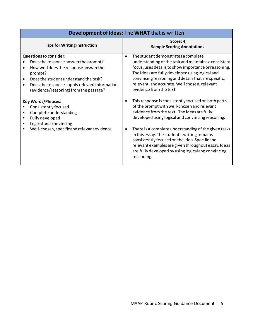| <b>Development of Ideas: The WHAT that is written</b>                                                                                                                                                                                                                                                                                                                                                                                    |                                                                                                                                                                                                                                                                                                                                                                                                                                                                                                                                                                                                                                                                                                               |  |  |  |
|------------------------------------------------------------------------------------------------------------------------------------------------------------------------------------------------------------------------------------------------------------------------------------------------------------------------------------------------------------------------------------------------------------------------------------------|---------------------------------------------------------------------------------------------------------------------------------------------------------------------------------------------------------------------------------------------------------------------------------------------------------------------------------------------------------------------------------------------------------------------------------------------------------------------------------------------------------------------------------------------------------------------------------------------------------------------------------------------------------------------------------------------------------------|--|--|--|
| <b>Tips for Writing Instruction</b>                                                                                                                                                                                                                                                                                                                                                                                                      | Score: 4<br><b>Sample Scoring Annotations</b>                                                                                                                                                                                                                                                                                                                                                                                                                                                                                                                                                                                                                                                                 |  |  |  |
| <b>Questions to consider:</b><br>Does the response answer the prompt?<br>How well does the response answer the<br>prompt?<br>Does the student understand the task?<br>Does the response supply relevant information<br>(evidence/reasoning) from the passage?<br><b>Key Words/Phrases:</b><br>Consistently focused<br>Complete understanding<br>Fully developed<br>Logical and convincing<br>Well-chosen, specific and relevant evidence | The student demonstrates a complete<br>understanding of the task and maintains a consistent<br>focus, uses details to show importance or reasoning.<br>The ideas are fully developed using logical and<br>convincing reasoning and details that are specific,<br>relevant, and accurate. Well chosen, relevant<br>evidence from the text.<br>This response is consistently focused on both parts<br>of the prompt with well-chosen and relevant<br>evidence from the text. The ideas are fully<br>developed using logical and convincing reasoning.<br>There is a complete understanding of the given tasks<br>in this essay. The student's writing remains<br>consistently focused on the idea. Specific and |  |  |  |
|                                                                                                                                                                                                                                                                                                                                                                                                                                          | relevant examples are given throughout essay. Ideas<br>are fully developed by using logical and convincing<br>reasoning.                                                                                                                                                                                                                                                                                                                                                                                                                                                                                                                                                                                      |  |  |  |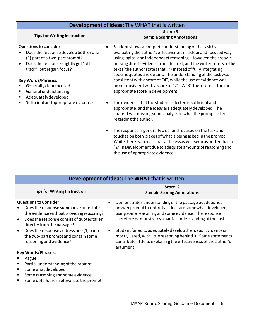| Development of Ideas: The WHAT that is written                                                                                                                                                                                                                                       |                                                                                                                                                                                                                                                                                                                                                                                                                                                                                                                                                                                      |  |  |  |
|--------------------------------------------------------------------------------------------------------------------------------------------------------------------------------------------------------------------------------------------------------------------------------------|--------------------------------------------------------------------------------------------------------------------------------------------------------------------------------------------------------------------------------------------------------------------------------------------------------------------------------------------------------------------------------------------------------------------------------------------------------------------------------------------------------------------------------------------------------------------------------------|--|--|--|
| <b>Tips for Writing Instruction</b>                                                                                                                                                                                                                                                  | Score: 3<br><b>Sample Scoring Annotations</b>                                                                                                                                                                                                                                                                                                                                                                                                                                                                                                                                        |  |  |  |
| <b>Questions to consider:</b><br>Does the response develop both or one<br>(1) part of a two-part prompt?<br>Does the response slightly get "off<br>track", but regain focus?<br><b>Key Words/Phrases:</b><br>Generally clear focused<br>General understanding<br>Adequatelydeveloped | Student shows a complete understanding of the task by<br>٠<br>evaluating the author's effectiveness in a clear and focused way<br>using logical and independent reasoning. However, the essay is<br>missing direct evidence from the text, and the writer refers to the<br>text ("the author states that") instead of fully integrating<br>specific quotes and details. The understanding of the task was<br>consistent with a score of "4", while the use of evidence was<br>more consistent with a score of "2". A "3" therefore, is the most<br>appropriate score in development. |  |  |  |
| Sufficient and appropriate evidence                                                                                                                                                                                                                                                  | The evidence that the student selected is sufficient and<br>appropriate, and the ideas are adequately developed. The<br>student was missing some analysis of what the prompt asked<br>regarding the author.<br>The response is generally clear and focused on the task and<br>touches on both pieces of what is being asked in the prompt.<br>While there is an inaccuracy, the essay was seen as better than a<br>"2" in Development due to adequate amounts of reasoning and<br>the use of appropriate evidence.                                                                   |  |  |  |

| <b>Development of Ideas: The WHAT that is written</b>                                                                                                                                                                                                                                                          |                                                                                                                                                                                                                                                                                                                                                                                                                                                                                 |  |  |  |
|----------------------------------------------------------------------------------------------------------------------------------------------------------------------------------------------------------------------------------------------------------------------------------------------------------------|---------------------------------------------------------------------------------------------------------------------------------------------------------------------------------------------------------------------------------------------------------------------------------------------------------------------------------------------------------------------------------------------------------------------------------------------------------------------------------|--|--|--|
| <b>Tips for Writing Instruction</b>                                                                                                                                                                                                                                                                            | Score: 2<br><b>Sample Scoring Annotations</b>                                                                                                                                                                                                                                                                                                                                                                                                                                   |  |  |  |
| <b>Questions to Consider</b><br>Does the response summarize or restate<br>the evidence without providing reasoning?<br>Does the response consist of quotes taken<br>directly from the passage?<br>Does the response address one (1) part of<br>the two-part prompt and contain some<br>reasoning and evidence? | Demonstrates understanding of the passage but does not<br>$\bullet$<br>answer prompt to entirety. Ideas are somewhat developed,<br>using some reasoning and some evidence. The response<br>therefore demonstrates a partial understanding of the task.<br>Student failed to adequately develop the ideas. Evidence is<br>٠<br>mostly listed, with little reasoning behind it. Some statements<br>contribute little to explaining the effectiveness of the author's<br>argument. |  |  |  |
| <b>Key Words/Phrases:</b><br>Vague<br>Partial understanding of the prompt<br>Somewhat developed<br>Some reasoning and some evidence<br>Some details are irrelevant to the prompt                                                                                                                               |                                                                                                                                                                                                                                                                                                                                                                                                                                                                                 |  |  |  |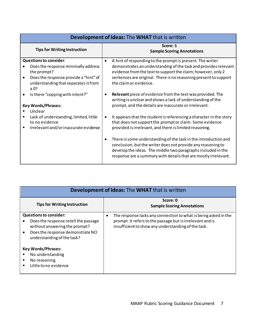| <b>Development of Ideas: The WHAT that is written</b> |                                                                        |  |  |  |
|-------------------------------------------------------|------------------------------------------------------------------------|--|--|--|
| <b>Tips for Writing Instruction</b>                   | Score: 1<br><b>Sample Scoring Annotations</b>                          |  |  |  |
| <b>Questions to consider:</b>                         | A hint of responding to the prompt is present. The writer<br>$\bullet$ |  |  |  |
| Does the response minimally address                   | demonstrates an understanding of the task and provides relevant        |  |  |  |
| the prompt?                                           | evidence from the text to support the claim; however, only 2           |  |  |  |
| Does the response provide a "hint" of                 | sentences are original. There is no reasoning present to support       |  |  |  |
| understanding that separates it from                  | the claim or evidence.                                                 |  |  |  |
| a $0?$                                                |                                                                        |  |  |  |
| Is there "copying with intent?"                       | <b>Relevant</b> piece of evidence from the text was provided. The      |  |  |  |
|                                                       | writing is unclear and shows a lack of understanding of the            |  |  |  |
| <b>Key Words/Phrases:</b>                             | prompt, and the details are inaccurate or irrelevant.                  |  |  |  |
| Unclear                                               |                                                                        |  |  |  |
| Lack of understanding, limited, little                | It appears that the student is referencing a character in the story    |  |  |  |
| to no evidence                                        | that does not support the prompt or claim. Some evidence               |  |  |  |
| Irrelevant and/or inaccurate evidence                 | provided is irrelevant, and there is limited reasoning.                |  |  |  |
|                                                       |                                                                        |  |  |  |
|                                                       | There is some understanding of the task in the introduction and<br>٠   |  |  |  |
|                                                       | conclusion, but the writer does not provide any reasoning to           |  |  |  |
|                                                       | develop the ideas. The middle two paragraphs included in the           |  |  |  |
|                                                       | response are a summary with details that are mostly irrelevant.        |  |  |  |
|                                                       |                                                                        |  |  |  |

| <b>Development of Ideas: The WHAT that is written</b>                                                                                                                    |                                                                                                                                                                                          |  |  |
|--------------------------------------------------------------------------------------------------------------------------------------------------------------------------|------------------------------------------------------------------------------------------------------------------------------------------------------------------------------------------|--|--|
| <b>Tips for Writing Instruction</b>                                                                                                                                      | Score: 0<br><b>Sample Scoring Annotations</b>                                                                                                                                            |  |  |
| <b>Questions to consider:</b><br>Does the response retell the passage<br>without answering the prompt?<br>Does the response demonstrate NO<br>understanding of the task? | The response lacks any connection to what is being asked in the<br>٠<br>prompt. It refers to the passage but is irrelevant and is<br>insufficient to show any understanding of the task. |  |  |
| <b>Key Words/Phrases:</b><br>No understanding<br>No reasoning<br>п<br>Little to no evidence                                                                              |                                                                                                                                                                                          |  |  |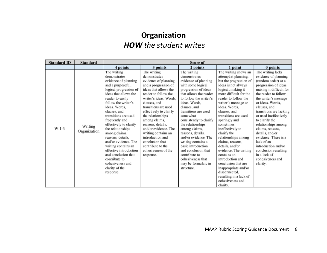# **Organization** *HOW the student writes*

| <b>Standard ID</b> | <b>Standard</b>         | Score of                                                                                                                                                                                                                                                                                                                                                                                                                                                                                                   |                                                                                                                                                                                                                                                                                                                                                                                                                                    |                                                                                                                                                                                                                                                                                                                                                                                                                                                                                       |                                                                                                                                                                                                                                                                                                                                                                                                                                                                                                                                                                            |                                                                                                                                                                                                                                                                                                                                                                                                                                                                                   |
|--------------------|-------------------------|------------------------------------------------------------------------------------------------------------------------------------------------------------------------------------------------------------------------------------------------------------------------------------------------------------------------------------------------------------------------------------------------------------------------------------------------------------------------------------------------------------|------------------------------------------------------------------------------------------------------------------------------------------------------------------------------------------------------------------------------------------------------------------------------------------------------------------------------------------------------------------------------------------------------------------------------------|---------------------------------------------------------------------------------------------------------------------------------------------------------------------------------------------------------------------------------------------------------------------------------------------------------------------------------------------------------------------------------------------------------------------------------------------------------------------------------------|----------------------------------------------------------------------------------------------------------------------------------------------------------------------------------------------------------------------------------------------------------------------------------------------------------------------------------------------------------------------------------------------------------------------------------------------------------------------------------------------------------------------------------------------------------------------------|-----------------------------------------------------------------------------------------------------------------------------------------------------------------------------------------------------------------------------------------------------------------------------------------------------------------------------------------------------------------------------------------------------------------------------------------------------------------------------------|
|                    |                         | 4 points                                                                                                                                                                                                                                                                                                                                                                                                                                                                                                   | 3 points                                                                                                                                                                                                                                                                                                                                                                                                                           | 2 points                                                                                                                                                                                                                                                                                                                                                                                                                                                                              | 1 point                                                                                                                                                                                                                                                                                                                                                                                                                                                                                                                                                                    | 0 points                                                                                                                                                                                                                                                                                                                                                                                                                                                                          |
| $W.1-3$            | Writing<br>Organization | The writing<br>demonstrates<br>evidence of planning<br>and a purposeful,<br>logical progression of<br>ideas that allows the<br>reader to easily<br>follow the writer's<br>ideas. Words.<br>clauses, and<br>transitions are used<br>frequently and<br>effectively to clarify<br>the relationships<br>among claims,<br>reasons, details,<br>and/or evidence. The<br>writing contains an<br>effective introduction<br>and conclusion that<br>contribute to<br>cohesiveness and<br>clarity of the<br>response. | The writing<br>demonstrates<br>evidence of planning<br>and a progression of<br>ideas that allows the<br>reader to follow the<br>writer's ideas. Words,<br>clauses, and<br>transitions are used<br>effectively to clarify<br>the relationships<br>among claims,<br>reasons, details,<br>and/or evidence. The<br>writing contains an<br>introduction and<br>conclusion that<br>contribute to the<br>cohesiveness of the<br>response. | The writing<br>demonstrates<br>evidence of planning<br>with some logical<br>progression of ideas<br>that allows the reader<br>to follow the writer's<br>ideas. Words,<br>clauses, and<br>transitions are used<br>somewhat<br>consistently to clarify<br>the relationships<br>among claims,<br>reasons, details,<br>and/or evidence. The<br>writing contains a<br>basic introduction<br>and conclusion that<br>contribute to<br>cohesiveness that<br>may be formulaic in<br>structure. | The writing shows an<br>attempt at planning,<br>but the progression of<br>ideas is not always<br>logical, making it<br>more difficult for the<br>reader to follow the<br>writer's message or<br>ideas. Words.<br>clauses, and<br>transitions are used<br>sparingly and<br>sometimes<br>ineffectively to<br>clarify the<br>relationships among<br>claims, reasons,<br>details, and/or<br>evidence. The writing<br>contains an<br>introduction and<br>conclusion that are<br>inappropriate and/or<br>disconnected.<br>resulting in a lack of<br>cohesiveness and<br>clarity. | The writing lacks<br>evidence of planning<br>(random order) or a<br>progression of ideas,<br>making it difficult for<br>the reader to follow<br>the writer's message<br>or ideas. Words,<br>clauses, and<br>transitions are lacking<br>or used ineffectively<br>to clarify the<br>relationships among<br>claims, reasons,<br>details, and/or<br>evidence. There is a<br>lack of an<br>introduction and/or<br>conclusion resulting<br>in a lack of<br>cohesiveness and<br>clarity. |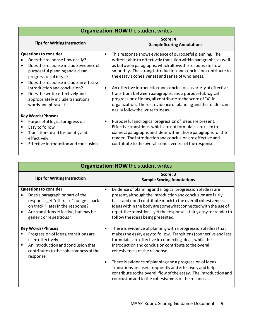| <b>Organization: HOW the student writes</b>                                                                                                                                                                                                                                                                                                   |                                                                                                                                                                                                                                                                                                                                                                                                                                                                                                                                                                                                                                       |  |  |  |
|-----------------------------------------------------------------------------------------------------------------------------------------------------------------------------------------------------------------------------------------------------------------------------------------------------------------------------------------------|---------------------------------------------------------------------------------------------------------------------------------------------------------------------------------------------------------------------------------------------------------------------------------------------------------------------------------------------------------------------------------------------------------------------------------------------------------------------------------------------------------------------------------------------------------------------------------------------------------------------------------------|--|--|--|
| <b>Tips for Writing Instruction</b>                                                                                                                                                                                                                                                                                                           | Score: 4<br><b>Sample Scoring Annotations</b>                                                                                                                                                                                                                                                                                                                                                                                                                                                                                                                                                                                         |  |  |  |
| <b>Questions to consider:</b><br>Does the response flow easily?<br>Does the response include evidence of<br>purposeful planning and a clear<br>progression of ideas?<br>Does the response include an effective<br>introduction and conclusion?<br>Does the writer effectively and<br>appropriately include transitional<br>words and phrases? | This response shows evidence of purposeful planning. The<br>$\bullet$<br>writer is able to effectively transition within paragraphs, as well<br>as between paragraphs, which allows the response to flow<br>smoothly. The strong introduction and conclusion contribute to<br>the essay's cohesiveness and sense of wholeness.<br>An effective introduction and conclusion, a variety of effective<br>transitions between paragraphs, and a purposeful, logical<br>progression of ideas, all contribute to the score of "4" in<br>organization. There is evidence of planning and the reader can<br>easily follow the writer's ideas. |  |  |  |
| <b>Key Words/Phrases</b><br>Purposeful logical progression<br>Easy to follow<br>٠<br>Transitions used frequently and<br>٠<br>effectively<br>Effective introduction and conclusion<br>٠                                                                                                                                                        | Purposeful and logical progression of ideas are present.<br>Effective transitions, which are not formulaic, are used to<br>connect paragraphs and ideas within those paragraphs for the<br>reader. The introduction and conclusion are effective and<br>contribute to the overall cohesiveness of the response.                                                                                                                                                                                                                                                                                                                       |  |  |  |
|                                                                                                                                                                                                                                                                                                                                               |                                                                                                                                                                                                                                                                                                                                                                                                                                                                                                                                                                                                                                       |  |  |  |

| <b>Organization: HOW the student writes</b>                                                                                                                                                                                       |                                                                                                                                                                                                                                                                                                                                                                                                                                                                                                                                              |  |  |  |
|-----------------------------------------------------------------------------------------------------------------------------------------------------------------------------------------------------------------------------------|----------------------------------------------------------------------------------------------------------------------------------------------------------------------------------------------------------------------------------------------------------------------------------------------------------------------------------------------------------------------------------------------------------------------------------------------------------------------------------------------------------------------------------------------|--|--|--|
| <b>Tips for Writing Instruction</b>                                                                                                                                                                                               | Score: 3<br><b>Sample Scoring Annotations</b>                                                                                                                                                                                                                                                                                                                                                                                                                                                                                                |  |  |  |
| <b>Questions to consider:</b><br>Does a paragraph or part of the<br>response get "off track," but get "back<br>on track," later in the response?<br>Are transitions effective, but may be<br>$\bullet$<br>generic or repetitious? | Evidence of planning and a logical progression of ideas are<br>٠<br>present, although the introduction and conclusion are fairly<br>basic and don't contribute much to the overall cohesiveness.<br>Ideas within the body are somewhat connected with the use of<br>repetitive transitions, yet the response is fairly easy for reader to<br>follow the ideas being presented.                                                                                                                                                               |  |  |  |
| <b>Key Words/Phrases</b><br>Progression of ideas, transitions are<br>used effectively<br>An introduction and conclusion that<br>$\blacksquare$<br>contributes to the cohesiveness of the<br>response                              | There is evidence of planning with a progression of ideas that<br>makes the essay easy to follow. Transitions (connective and less<br>formulaic) are effective in connecting ideas, while the<br>introduction and conclusion contribute to the overall<br>cohesiveness of the response.<br>There is evidence of planning and a progression of ideas.<br>Transitions are used frequently and effectively and help<br>contribute to the overall flow of the essay. The introduction and<br>conclusion add to the cohesiveness of the response. |  |  |  |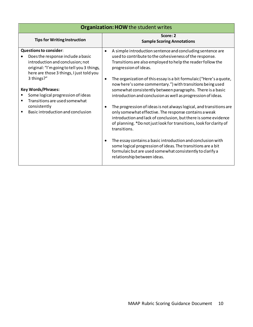| <b>Organization: HOW the student writes</b>                                                                                                                                                      |                                                                                                                                                                                                                                                                                        |  |  |  |
|--------------------------------------------------------------------------------------------------------------------------------------------------------------------------------------------------|----------------------------------------------------------------------------------------------------------------------------------------------------------------------------------------------------------------------------------------------------------------------------------------|--|--|--|
| <b>Tips for Writing Instruction</b>                                                                                                                                                              | Score: 2<br><b>Sample Scoring Annotations</b>                                                                                                                                                                                                                                          |  |  |  |
| <b>Questions to consider:</b><br>Does the response include a basic<br>introduction and conclusion; not<br>original: "I'm going to tell you 3 things,<br>here are those 3 things, I just told you | A simple introduction sentence and concluding sentence are<br>used to contribute to the cohesiveness of the response.<br>Transitions are also employed to help the reader follow the<br>progression of ideas.                                                                          |  |  |  |
| 3 things?"<br><b>Key Words/Phrases:</b><br>Some logical progression of ideas<br>Transitions are used somewhat                                                                                    | The organization of this essay is a bit formulaic ("Here's a quote,<br>٠<br>now here's some commentary.") with transitions being used<br>somewhat consistently between paragraphs. There is a basic<br>introduction and conclusion as well as progression of ideas.                    |  |  |  |
| consistently<br>Basic introduction and conclusion                                                                                                                                                | The progression of ideas is not always logical, and transitions are<br>only somewhat effective. The response contains a weak<br>introduction and lack of conclusion, but there is some evidence<br>of planning. *Do not just look for transitions, look for clarity of<br>transitions. |  |  |  |
|                                                                                                                                                                                                  | The essay contains a basic introduction and conclusion with<br>some logical progression of ideas. The transitions are a bit<br>formulaic but are used somewhat consistently to clarify a<br>relationship between ideas.                                                                |  |  |  |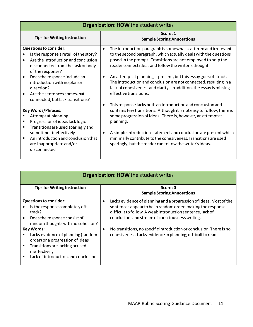|                                     | <b>Organization: HOW the student writes</b>                                                                                                          |                                                                                                                                                                                                                                                                                      |  |  |  |
|-------------------------------------|------------------------------------------------------------------------------------------------------------------------------------------------------|--------------------------------------------------------------------------------------------------------------------------------------------------------------------------------------------------------------------------------------------------------------------------------------|--|--|--|
| <b>Tips for Writing Instruction</b> |                                                                                                                                                      | Score: 1<br><b>Sample Scoring Annotations</b>                                                                                                                                                                                                                                        |  |  |  |
|                                     | <b>Questions to consider:</b>                                                                                                                        | The introduction paragraph is somewhat scattered and irrelevant<br>$\bullet$                                                                                                                                                                                                         |  |  |  |
|                                     | Is the response a retell of the story?<br>Are the introduction and conclusion<br>disconnected from the task or body<br>of the response?              | to the second paragraph, which actually deals with the questions<br>posed in the prompt. Transitions are not employed to help the<br>reader connect ideas and follow the writer's thought.                                                                                           |  |  |  |
| ٠                                   | Does the response include an<br>introduction with no plan or<br>direction?<br>Are the sentences somewhat<br>connected, but lack transitions?         | An attempt at planning is present, but this essay goes off track.<br>The introduction and conclusion are not connected, resulting in a<br>lack of cohesiveness and clarity. In addition, the essay is missing<br>effective transitions.                                              |  |  |  |
| ٠                                   | <b>Key Words/Phrases:</b><br>Attempt at planning<br>Progression of ideas lack logic<br>Transitions are used sparingly and<br>sometimes ineffectively | This response lacks both an introduction and conclusion and<br>contains few transitions. Although it is not easy to follow, there is<br>some progression of ideas. There is, however, an attempt at<br>planning.<br>A simple introduction statement and conclusion are present which |  |  |  |
| $\blacksquare$                      | An introduction and conclusion that<br>are inappropriate and/or<br>disconnected                                                                      | minimally contribute to the cohesiveness. Transitions are used<br>sparingly, but the reader can follow the writer's ideas.                                                                                                                                                           |  |  |  |

|                               | <b>Organization: HOW the student writes</b> |   |                                                                     |  |  |  |
|-------------------------------|---------------------------------------------|---|---------------------------------------------------------------------|--|--|--|
|                               |                                             |   |                                                                     |  |  |  |
|                               | <b>Tips for Writing Instruction</b>         |   | Score: 0                                                            |  |  |  |
|                               |                                             |   | <b>Sample Scoring Annotations</b>                                   |  |  |  |
| <b>Questions to consider:</b> |                                             | ٠ | Lacks evidence of planning and a progression of ideas. Most of the  |  |  |  |
|                               | Is the response completely off              |   | sentences appear to be in random order, making the response         |  |  |  |
|                               | track?                                      |   | difficult to follow. A weak introduction sentence, lack of          |  |  |  |
|                               | Does the response consist of                |   | conclusion, and stream of consciousness writing.                    |  |  |  |
|                               | random thoughts with no cohesion?           |   |                                                                     |  |  |  |
| Key Words:                    |                                             |   | No transitions, no specific introduction or conclusion. There is no |  |  |  |
|                               | Lacks evidence of planning (random          |   | cohesiveness. Lacks evidence in planning; difficult to read.        |  |  |  |
|                               | order) or a progression of ideas            |   |                                                                     |  |  |  |
|                               | Transitions are lacking or used             |   |                                                                     |  |  |  |
|                               | ineffectively                               |   |                                                                     |  |  |  |
|                               | Lack of introduction and conclusion         |   |                                                                     |  |  |  |
|                               |                                             |   |                                                                     |  |  |  |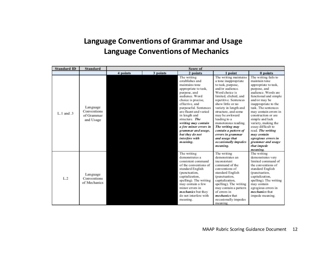# **Language Conventions of Grammar and Usage Language Conventions of Mechanics**

| <b>Standard ID</b> | <b>Standard</b>                                    |          | Score of |                                                                                                                                                                                                                                                                                                                                                                |                                                                                                                                                                                                                                                                                                                                                                                                                |                                                                                                                                                                                                                                                                                                                                                                                                                          |  |
|--------------------|----------------------------------------------------|----------|----------|----------------------------------------------------------------------------------------------------------------------------------------------------------------------------------------------------------------------------------------------------------------------------------------------------------------------------------------------------------------|----------------------------------------------------------------------------------------------------------------------------------------------------------------------------------------------------------------------------------------------------------------------------------------------------------------------------------------------------------------------------------------------------------------|--------------------------------------------------------------------------------------------------------------------------------------------------------------------------------------------------------------------------------------------------------------------------------------------------------------------------------------------------------------------------------------------------------------------------|--|
|                    |                                                    | 4 points | 3 points | 2 points                                                                                                                                                                                                                                                                                                                                                       | 1 point                                                                                                                                                                                                                                                                                                                                                                                                        | 0 points                                                                                                                                                                                                                                                                                                                                                                                                                 |  |
| $L.1$ and $.3$     | Language<br>Conventions<br>of Grammar<br>and Usage |          |          | The writing<br>establishes and<br>maintains tone<br>appropriate to task,<br>purpose, and<br>audience. Word<br>choice is precise,<br>effective, and<br>purposeful. Sentences<br>are fluent and varied<br>in length and<br>structure. The<br>writing may contain<br>a few minor errors in<br>grammar and usage,<br>but they do not<br>interfere with<br>meaning. | The writing maintains<br>a tone inappropriate<br>to task, purpose,<br>and/or audience.<br>Word choice is<br>limited, clichéd, and<br>repetitive. Sentences<br>show little or no<br>variety in length and<br>structure, and some<br>may be awkward<br>leading to a<br>monotonous reading.<br>The writing may<br>contain a pattern of<br>errors in grammar<br>and usage that<br>occasionally impedes<br>meaning. | The writing fails to<br>maintain tone<br>appropriate to task,<br>purpose, and<br>audience. Words are<br>functional and simple<br>and/or may be<br>inappropriate to the<br>task. The sentences<br>may contain errors in<br>construction or are<br>simple and lack<br>variety, making the<br>essay difficult to<br>read. The writing<br>may contain<br>egregious errors in<br>grammar and usage<br>that impede<br>meaning. |  |
| L.2                | Language<br>Conventions<br>of Mechanics            |          |          | The writing<br>demonstrates a<br>consistent command<br>of the conventions of<br>standard English<br>(punctuation,<br>capitalization.<br>spelling). The writing<br>may contain a few<br>minor errors in<br><i>mechanics</i> but they<br>do not interfere with<br>meaning.                                                                                       | The writing<br>demonstrates an<br>inconsistent<br>command of the<br>conventions of<br>standard English<br>(punctuation,<br>capitalization,<br>spelling). The writing<br>may contain a pattern<br>of errors in<br><i>mechanics</i> that<br>occasionally impedes<br>meaning.                                                                                                                                     | The writing<br>demonstrates very<br>limited command of<br>the conventions of<br>standard English<br>(punctuation,<br>capitalization,<br>spelling). The writing<br>may contain<br>egregious errors in<br><i>mechanics</i> that<br>impede meaning.                                                                                                                                                                         |  |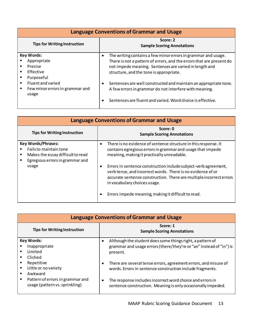| <b>Language Conventions of Grammar and Usage</b>                       |                                                                                                                                                                                                                                                                                                                                                                                                                           |  |  |  |  |  |
|------------------------------------------------------------------------|---------------------------------------------------------------------------------------------------------------------------------------------------------------------------------------------------------------------------------------------------------------------------------------------------------------------------------------------------------------------------------------------------------------------------|--|--|--|--|--|
| <b>Tips for Writing Instruction</b>                                    | Score: 2<br><b>Sample Scoring Annotations</b><br>The writing contains a few minor errors in grammar and usage.<br>There is not a pattern of errors, and the errors that are present do<br>not impede meaning. Sentences are varied in length and<br>structure, and the tone is appropriate.<br>Sentences are well constructed and maintain an appropriate tone.<br>A few errors in grammar do not interfere with meaning. |  |  |  |  |  |
| <b>Key Words:</b><br>Appropriate<br>Precise<br>Effective<br>Purposeful | $\bullet$                                                                                                                                                                                                                                                                                                                                                                                                                 |  |  |  |  |  |
| Fluent and varied<br>Few minor errors in grammar and<br>usage          | ٠<br>Sentences are fluent and varied. Word choice is effective.                                                                                                                                                                                                                                                                                                                                                           |  |  |  |  |  |

|   | <b>Language Conventions of Grammar and Usage</b>                                                                                     |                                                                                                                                                                                                                                                |  |  |  |  |
|---|--------------------------------------------------------------------------------------------------------------------------------------|------------------------------------------------------------------------------------------------------------------------------------------------------------------------------------------------------------------------------------------------|--|--|--|--|
|   | <b>Tips for Writing Instruction</b>                                                                                                  | Score: 0<br><b>Sample Scoring Annotations</b>                                                                                                                                                                                                  |  |  |  |  |
| ٠ | <b>Key Words/Phrases:</b><br>Fails to maintain tone<br>Makes the essay difficult to read<br>Egregious errors in grammar and<br>usage | There is no evidence of sentence structure in this response. It<br>contains egregious errors in grammar and usage that impede<br>meaning, making it practically unreadable.<br>Errors in sentence construction include subject-verb agreement, |  |  |  |  |
|   |                                                                                                                                      | verb tense, and incorrect words. There is no evidence of or<br>accurate sentence construction. There are multiple incorrect errors<br>in vocabulary choices usage.                                                                             |  |  |  |  |
|   |                                                                                                                                      | Errors impede meaning, making it difficult to read.                                                                                                                                                                                            |  |  |  |  |

| <b>Language Conventions of Grammar and Usage</b>                   |                                                                                                                                                   |  |  |  |  |  |
|--------------------------------------------------------------------|---------------------------------------------------------------------------------------------------------------------------------------------------|--|--|--|--|--|
| <b>Tips for Writing Instruction</b>                                | Score: 1<br><b>Sample Scoring Annotations</b>                                                                                                     |  |  |  |  |  |
| <b>Key Words:</b><br>Inappropriate<br>Limited<br>Cliched           | Although the student does some things right, a pattern of<br>٠<br>grammar and usage errors (there/they're or "an" instead of "in") is<br>present. |  |  |  |  |  |
| Repetitive<br>Little or no variety<br>٠<br>Awkward                 | There are several tense errors, agreement errors, and misuse of<br>٠<br>words. Errors in sentence construction include fragments.                 |  |  |  |  |  |
| Pattern of errors in grammar and<br>usage (pattern vs. sprinkling) | The response includes incorrect word choice and errors in<br>٠<br>sentence construction. Meaning is only occasionally impeded.                    |  |  |  |  |  |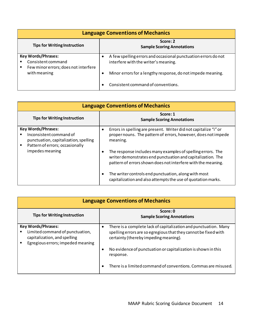| <b>Language Conventions of Mechanics</b>                                                     |                                                                                                        |  |  |  |  |  |
|----------------------------------------------------------------------------------------------|--------------------------------------------------------------------------------------------------------|--|--|--|--|--|
| <b>Tips for Writing Instruction</b>                                                          | Score: 2<br><b>Sample Scoring Annotations</b>                                                          |  |  |  |  |  |
| <b>Key Words/Phrases:</b><br>Consistent command<br>Few minor errors; does not interfere<br>٠ | A few spelling errors and occasional punctuation errors do not<br>interfere with the writer's meaning. |  |  |  |  |  |
| with meaning                                                                                 | Minor errors for a lengthy response, do not impede meaning.<br>٠<br>Consistent command of conventions. |  |  |  |  |  |

| <b>Language Conventions of Mechanics</b>                                                                                         |                                                                                                                                                                                                                                                                                                                                                                                                                                                      |  |  |  |  |  |
|----------------------------------------------------------------------------------------------------------------------------------|------------------------------------------------------------------------------------------------------------------------------------------------------------------------------------------------------------------------------------------------------------------------------------------------------------------------------------------------------------------------------------------------------------------------------------------------------|--|--|--|--|--|
| <b>Tips for Writing Instruction</b>                                                                                              | Score: 1<br><b>Sample Scoring Annotations</b><br>Errors in spelling are present. Writer did not capitalize "i" or<br>proper nouns. The pattern of errors, however, does not impede<br>meaning.<br>The response includes many examples of spelling errors. The<br>writer demonstrates end punctuation and capitalization. The<br>pattern of errors shown does not interfere with the meaning.<br>The writer controls end punctuation, along with most |  |  |  |  |  |
| <b>Key Words/Phrases:</b><br>Inconsistent command of<br>punctuation, capitalization, spelling<br>Pattern of errors; occasionally | ٠                                                                                                                                                                                                                                                                                                                                                                                                                                                    |  |  |  |  |  |
| impedes meaning                                                                                                                  | ٠                                                                                                                                                                                                                                                                                                                                                                                                                                                    |  |  |  |  |  |
|                                                                                                                                  | ٠<br>capitalization and also attempts the use of quotation marks.                                                                                                                                                                                                                                                                                                                                                                                    |  |  |  |  |  |

| <b>Language Conventions of Mechanics</b>                                                                                          |                                                                                                                                                                              |  |  |  |  |  |  |
|-----------------------------------------------------------------------------------------------------------------------------------|------------------------------------------------------------------------------------------------------------------------------------------------------------------------------|--|--|--|--|--|--|
| <b>Tips for Writing Instruction</b>                                                                                               | Score: 0<br><b>Sample Scoring Annotations</b>                                                                                                                                |  |  |  |  |  |  |
| <b>Key Words/Phrases:</b><br>Limited command of punctuation,<br>capitalization, and spelling<br>Egregious errors; impeded meaning | There is a complete lack of capitalization and punctuation. Many<br>spelling errors are so egregious that they cannot be fixed with<br>certainty (thereby impeding meaning). |  |  |  |  |  |  |
|                                                                                                                                   | No evidence of punctuation or capitalization is shown in this<br>response.                                                                                                   |  |  |  |  |  |  |
|                                                                                                                                   | There is a limited command of conventions. Commas are misused.                                                                                                               |  |  |  |  |  |  |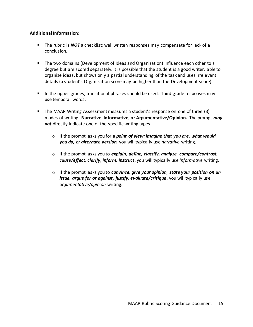### **Additional Information:**

- The rubric is **NOT** a checklist; well written responses may compensate for lack of a conclusion.
- The two domains (Development of Ideas and Organization) influence each other to a degree but are scored separately. It is possible that the student is a good writer, able to organize ideas, but shows only a partial understanding of the task and uses irrelevant details (a student's Organization score may be higher than the Development score).
- In the upper grades, transitional phrases should be used. Third grade responses may use temporal words.
- The MAAP Writing Assessment measures a student's response on one of three (3) modes of writing: **Narrative, Informative, or Argumentative/Opinion.** The prompt *may not* directly indicate one of the specific writing types.
	- o If the prompt asks you for a *point of view: imagine that you are, what would you do, or alternate version,* you will typically use *narrative* writing.
	- o If the prompt asks you to *explain, define, classify, analyze, compare/contrast, cause/effect, clarify, inform, instruct*, you will typically use *informative* writing.
	- o If the prompt asks you to *convince, give your opinion, state your position on an issue, argue for or against, justify, evaluate/critique*, you will typically use *argumentative/opinion* writing.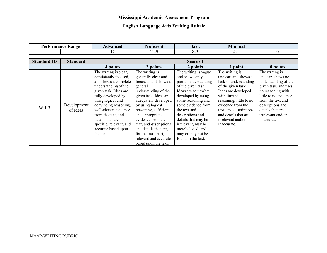### **Mississippi Academic Assessment Program**

### **English Language Arts Writing Rubric**

| Performance<br><b>Kange</b> | <b>\dvanced</b> | $\sim$<br>roficien ? | Basic | $\blacksquare$<br>Mınımal |  |
|-----------------------------|-----------------|----------------------|-------|---------------------------|--|
|                             | --              | $\ddot{\phantom{1}}$ | ^-    |                           |  |

| <b>Standard ID</b> | <b>Standard</b>         | Score of                                                                                                                                                                                                                                                                                                                     |                                                                                                                                                                                                                                                                                                                                                                  |                                                                                                                                                                                                                                                                                                                                 |                                                                                                                                                                                                                                                                    |                                                                                                                                                                                                                                    |  |
|--------------------|-------------------------|------------------------------------------------------------------------------------------------------------------------------------------------------------------------------------------------------------------------------------------------------------------------------------------------------------------------------|------------------------------------------------------------------------------------------------------------------------------------------------------------------------------------------------------------------------------------------------------------------------------------------------------------------------------------------------------------------|---------------------------------------------------------------------------------------------------------------------------------------------------------------------------------------------------------------------------------------------------------------------------------------------------------------------------------|--------------------------------------------------------------------------------------------------------------------------------------------------------------------------------------------------------------------------------------------------------------------|------------------------------------------------------------------------------------------------------------------------------------------------------------------------------------------------------------------------------------|--|
|                    |                         | 4 points                                                                                                                                                                                                                                                                                                                     | 3 points                                                                                                                                                                                                                                                                                                                                                         | 2 points                                                                                                                                                                                                                                                                                                                        | point                                                                                                                                                                                                                                                              | 0 points                                                                                                                                                                                                                           |  |
| $W.1-3$            | Development<br>of Ideas | The writing is clear,<br>consistently focused,<br>and shows a complete<br>understanding of the<br>given task. Ideas are<br>fully developed by<br>using logical and<br>convincing reasoning,<br>well-chosen evidence<br>from the text, and<br>details that are<br>specific, relevant, and<br>accurate based upon<br>the text. | The writing is<br>generally clear and<br>focused, and shows a<br>general<br>understanding of the<br>given task. Ideas are<br>adequately developed<br>by using logical<br>reasoning, sufficient<br>and appropriate<br>evidence from the<br>text, and descriptions<br>and details that are,<br>for the most part,<br>relevant and accurate<br>based upon the text. | The writing is vague<br>and shows only<br>partial understanding<br>of the given task.<br>Ideas are somewhat<br>developed by using<br>some reasoning and<br>some evidence from<br>the text and<br>descriptions and<br>details that may be<br>irrelevant, may be<br>merely listed, and<br>may or may not be<br>found in the text. | The writing is<br>unclear, and shows a<br>lack of understanding<br>of the given task.<br>Ideas are developed<br>with limited<br>reasoning, little to no<br>evidence from the<br>text, and descriptions<br>and details that are<br>irrelevant and/or<br>inaccurate. | The writing is<br>unclear, shows no<br>understanding of the<br>given task, and uses<br>no reasoning with<br>little to no evidence<br>from the text and<br>descriptions and<br>details that are<br>irrelevant and/or<br>inaccurate. |  |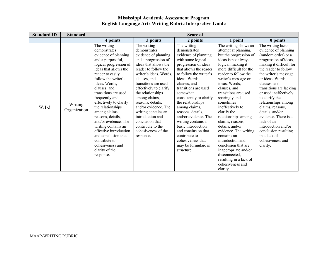### **Mississippi Academic Assessment Program English Language Arts Writing Rubric Interpretive Guide**

| <b>Standard ID</b> | <b>Standard</b>         | Score of                                                                                                                                                                                                                                                                                                                                                                                                                                                                                                   |                                                                                                                                                                                                                                                                                                                                                                                                                                    |                                                                                                                                                                                                                                                                                                                                                                                                                                                                                       |                                                                                                                                                                                                                                                                                                                                                                                                                                                                                                                                                                            |                                                                                                                                                                                                                                                                                                                                                                                                                                                                                   |
|--------------------|-------------------------|------------------------------------------------------------------------------------------------------------------------------------------------------------------------------------------------------------------------------------------------------------------------------------------------------------------------------------------------------------------------------------------------------------------------------------------------------------------------------------------------------------|------------------------------------------------------------------------------------------------------------------------------------------------------------------------------------------------------------------------------------------------------------------------------------------------------------------------------------------------------------------------------------------------------------------------------------|---------------------------------------------------------------------------------------------------------------------------------------------------------------------------------------------------------------------------------------------------------------------------------------------------------------------------------------------------------------------------------------------------------------------------------------------------------------------------------------|----------------------------------------------------------------------------------------------------------------------------------------------------------------------------------------------------------------------------------------------------------------------------------------------------------------------------------------------------------------------------------------------------------------------------------------------------------------------------------------------------------------------------------------------------------------------------|-----------------------------------------------------------------------------------------------------------------------------------------------------------------------------------------------------------------------------------------------------------------------------------------------------------------------------------------------------------------------------------------------------------------------------------------------------------------------------------|
|                    |                         | 4 points                                                                                                                                                                                                                                                                                                                                                                                                                                                                                                   | 3 points                                                                                                                                                                                                                                                                                                                                                                                                                           | 2 points                                                                                                                                                                                                                                                                                                                                                                                                                                                                              | 1 point                                                                                                                                                                                                                                                                                                                                                                                                                                                                                                                                                                    | 0 points                                                                                                                                                                                                                                                                                                                                                                                                                                                                          |
| $W.1-3$            | Writing<br>Organization | The writing<br>demonstrates<br>evidence of planning<br>and a purposeful,<br>logical progression of<br>ideas that allows the<br>reader to easily<br>follow the writer's<br>ideas. Words,<br>clauses, and<br>transitions are used<br>frequently and<br>effectively to clarify<br>the relationships<br>among claims,<br>reasons, details,<br>and/or evidence. The<br>writing contains an<br>effective introduction<br>and conclusion that<br>contribute to<br>cohesiveness and<br>clarity of the<br>response. | The writing<br>demonstrates<br>evidence of planning<br>and a progression of<br>ideas that allows the<br>reader to follow the<br>writer's ideas. Words,<br>clauses, and<br>transitions are used<br>effectively to clarify<br>the relationships<br>among claims,<br>reasons, details,<br>and/or evidence. The<br>writing contains an<br>introduction and<br>conclusion that<br>contribute to the<br>cohesiveness of the<br>response. | The writing<br>demonstrates<br>evidence of planning<br>with some logical<br>progression of ideas<br>that allows the reader<br>to follow the writer's<br>ideas. Words,<br>clauses, and<br>transitions are used<br>somewhat<br>consistently to clarify<br>the relationships<br>among claims,<br>reasons, details,<br>and/or evidence. The<br>writing contains a<br>basic introduction<br>and conclusion that<br>contribute to<br>cohesiveness that<br>may be formulaic in<br>structure. | The writing shows an<br>attempt at planning,<br>but the progression of<br>ideas is not always<br>logical, making it<br>more difficult for the<br>reader to follow the<br>writer's message or<br>ideas. Words,<br>clauses, and<br>transitions are used<br>sparingly and<br>sometimes<br>ineffectively to<br>clarify the<br>relationships among<br>claims, reasons,<br>details, and/or<br>evidence. The writing<br>contains an<br>introduction and<br>conclusion that are<br>inappropriate and/or<br>disconnected,<br>resulting in a lack of<br>cohesiveness and<br>clarity. | The writing lacks<br>evidence of planning<br>(random order) or a<br>progression of ideas,<br>making it difficult for<br>the reader to follow<br>the writer's message<br>or ideas. Words,<br>clauses, and<br>transitions are lacking<br>or used ineffectively<br>to clarify the<br>relationships among<br>claims, reasons,<br>details, and/or<br>evidence. There is a<br>lack of an<br>introduction and/or<br>conclusion resulting<br>in a lack of<br>cohesiveness and<br>clarity. |